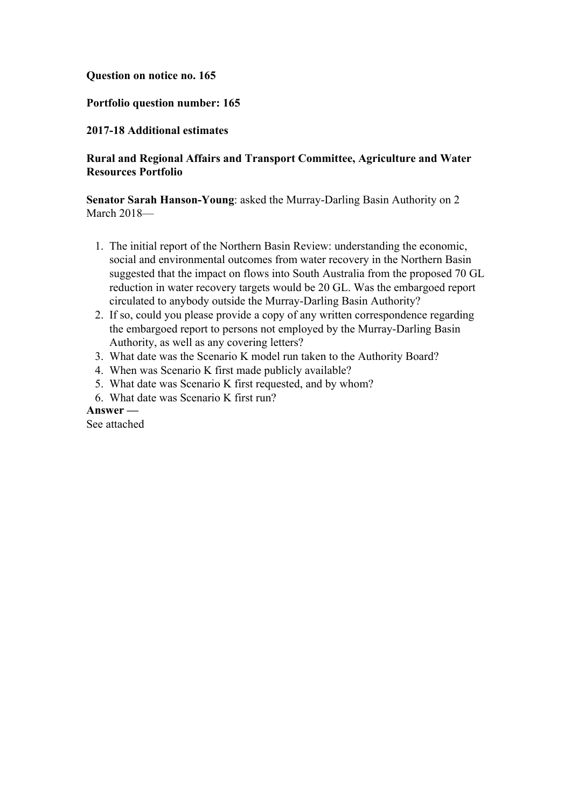### **Question on notice no. 165**

## **Portfolio question number: 165**

## **2017-18 Additional estimates**

# **Rural and Regional Affairs and Transport Committee, Agriculture and Water Resources Portfolio**

**Senator Sarah Hanson-Young**: asked the Murray-Darling Basin Authority on 2 March 2018—

- 1. The initial report of the Northern Basin Review: understanding the economic, social and environmental outcomes from water recovery in the Northern Basin suggested that the impact on flows into South Australia from the proposed 70 GL reduction in water recovery targets would be 20 GL. Was the embargoed report circulated to anybody outside the Murray-Darling Basin Authority?
- 2. If so, could you please provide a copy of any written correspondence regarding the embargoed report to persons not employed by the Murray-Darling Basin Authority, as well as any covering letters?
- 3. What date was the Scenario K model run taken to the Authority Board?
- 4. When was Scenario K first made publicly available?
- 5. What date was Scenario K first requested, and by whom?
- 6. What date was Scenario K first run?

### **Answer —**

See attached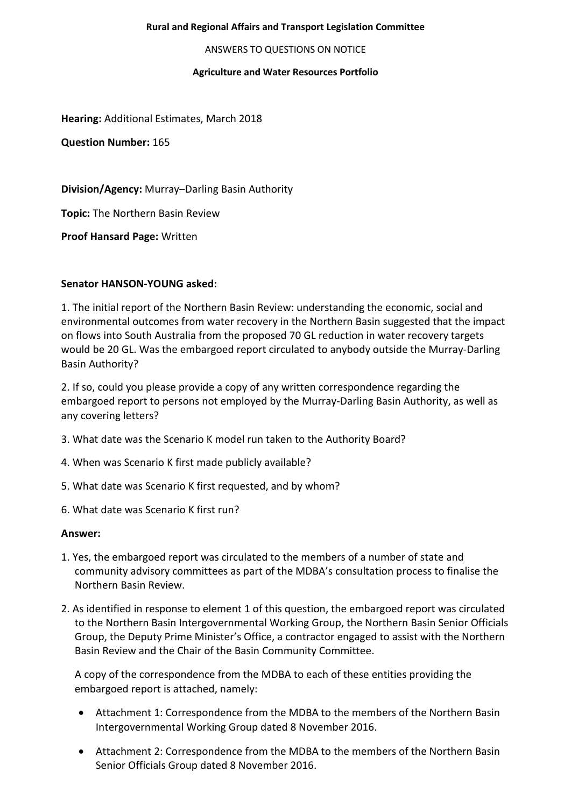### **Rural and Regional Affairs and Transport Legislation Committee**

ANSWERS TO QUESTIONS ON NOTICE

### **Agriculture and Water Resources Portfolio**

**Hearing:** Additional Estimates, March 2018

**Question Number:** 165

**Division/Agency:** Murray–Darling Basin Authority

**Topic:** The Northern Basin Review

**Proof Hansard Page:** Written

### **Senator HANSON-YOUNG asked:**

1. The initial report of the Northern Basin Review: understanding the economic, social and environmental outcomes from water recovery in the Northern Basin suggested that the impact on flows into South Australia from the proposed 70 GL reduction in water recovery targets would be 20 GL. Was the embargoed report circulated to anybody outside the Murray-Darling Basin Authority?

2. If so, could you please provide a copy of any written correspondence regarding the embargoed report to persons not employed by the Murray-Darling Basin Authority, as well as any covering letters?

- 3. What date was the Scenario K model run taken to the Authority Board?
- 4. When was Scenario K first made publicly available?
- 5. What date was Scenario K first requested, and by whom?
- 6. What date was Scenario K first run?

### **Answer:**

- 1. Yes, the embargoed report was circulated to the members of a number of state and community advisory committees as part of the MDBA's consultation process to finalise the Northern Basin Review.
- 2. As identified in response to element 1 of this question, the embargoed report was circulated to the Northern Basin Intergovernmental Working Group, the Northern Basin Senior Officials Group, the Deputy Prime Minister's Office, a contractor engaged to assist with the Northern Basin Review and the Chair of the Basin Community Committee.

A copy of the correspondence from the MDBA to each of these entities providing the embargoed report is attached, namely:

- Attachment 1: Correspondence from the MDBA to the members of the Northern Basin Intergovernmental Working Group dated 8 November 2016.
- Attachment 2: Correspondence from the MDBA to the members of the Northern Basin Senior Officials Group dated 8 November 2016.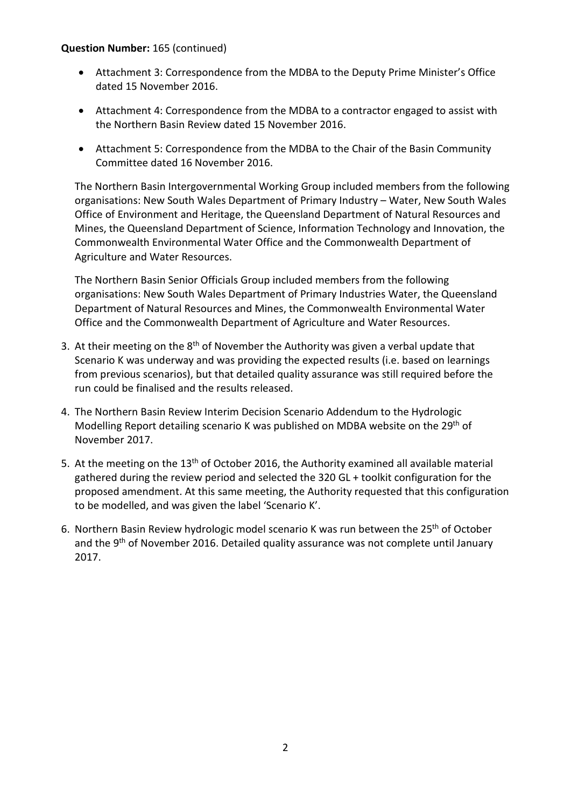### **Question Number:** 165 (continued)

- Attachment 3: Correspondence from the MDBA to the Deputy Prime Minister's Office dated 15 November 2016.
- Attachment 4: Correspondence from the MDBA to a contractor engaged to assist with the Northern Basin Review dated 15 November 2016.
- Attachment 5: Correspondence from the MDBA to the Chair of the Basin Community Committee dated 16 November 2016.

The Northern Basin Intergovernmental Working Group included members from the following organisations: New South Wales Department of Primary Industry – Water, New South Wales Office of Environment and Heritage, the Queensland Department of Natural Resources and Mines, the Queensland Department of Science, Information Technology and Innovation, the Commonwealth Environmental Water Office and the Commonwealth Department of Agriculture and Water Resources.

The Northern Basin Senior Officials Group included members from the following organisations: New South Wales Department of Primary Industries Water, the Queensland Department of Natural Resources and Mines, the Commonwealth Environmental Water Office and the Commonwealth Department of Agriculture and Water Resources.

- 3. At their meeting on the  $8<sup>th</sup>$  of November the Authority was given a verbal update that Scenario K was underway and was providing the expected results (i.e. based on learnings from previous scenarios), but that detailed quality assurance was still required before the run could be finalised and the results released.
- 4. The Northern Basin Review Interim Decision Scenario Addendum to the Hydrologic Modelling Report detailing scenario K was published on MDBA website on the 29<sup>th</sup> of November 2017.
- 5. At the meeting on the 13<sup>th</sup> of October 2016, the Authority examined all available material gathered during the review period and selected the 320 GL + toolkit configuration for the proposed amendment. At this same meeting, the Authority requested that this configuration to be modelled, and was given the label 'Scenario K'.
- 6. Northern Basin Review hydrologic model scenario K was run between the 25<sup>th</sup> of October and the 9<sup>th</sup> of November 2016. Detailed quality assurance was not complete until January 2017.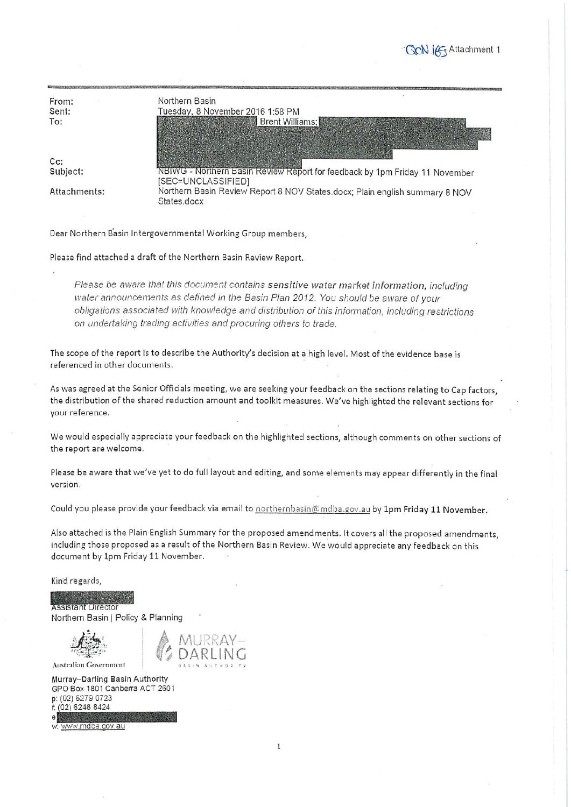**SON** IG Attachment 1

|              | Northern Basin                                                                                    |
|--------------|---------------------------------------------------------------------------------------------------|
| From:        |                                                                                                   |
| Sent:        | Tuesday, 8 November 2016 1:58 PM                                                                  |
| To:          | Brent Williams;                                                                                   |
|              |                                                                                                   |
|              |                                                                                                   |
| $Cc$ :       |                                                                                                   |
| Subject:     | NBIWG - Northern Basin Review Report for feedback by 1pm Friday 11 November<br>[SEC=UNCLASSIFIED] |
| Attachments: | Northern Basin Review Report 8 NOV States.docx; Plain english summary 8 NOV<br>States.docx        |
|              |                                                                                                   |

Dear Northern Basin Intergovernmental Working Group members,

Please find attached a draft of the Northern Basin Review Report.

Please be aware that this document contains sensitive water market information, including water announcements as defined in the Basin Plan 2012. You should be aware of your obligations associated with knowledge and distribution of this information, including restrictions on undertaking trading activities and procuring others to trade.

The scope of the report is to describe the Authority's decision at a high level. Most of the evidence base is referenced in other documents.

As was agreed at the Senior Officials meeting, we are seeking your feedback on the sections relating to Cap factors, the distribution of the shared reduction amount and toolkit measures. We've highlighted the relevant sections for your reference.

We would especially appreciate your feedback on the highlighted sections, although comments on other sections of the report are welcome.

Please be aware that we've yet to do full layout and editing, and some elements may appear differently in the final version.

Could you please provide your feedback via email to northernbasin@mdba.gov.au by 1pm Friday 11 November.

Also attached is the Plain English Summary for the proposed amendments. It covers all the proposed amendments, including those proposed as a result of the Northern Basin Review. We would appreciate any feedback on this document by 1pm Friday 11 November.

Kind regards,

**Assistant Director** Northern Basin | Policy & Planning

Australian Government

Murray-Darling Basin Authority GPO Box 1801 Canberra ACT 2601 p: (02) 6279 0723 f: (02) 6248 8424

w: www.mdba.gov.au

 $\mathbf{1}$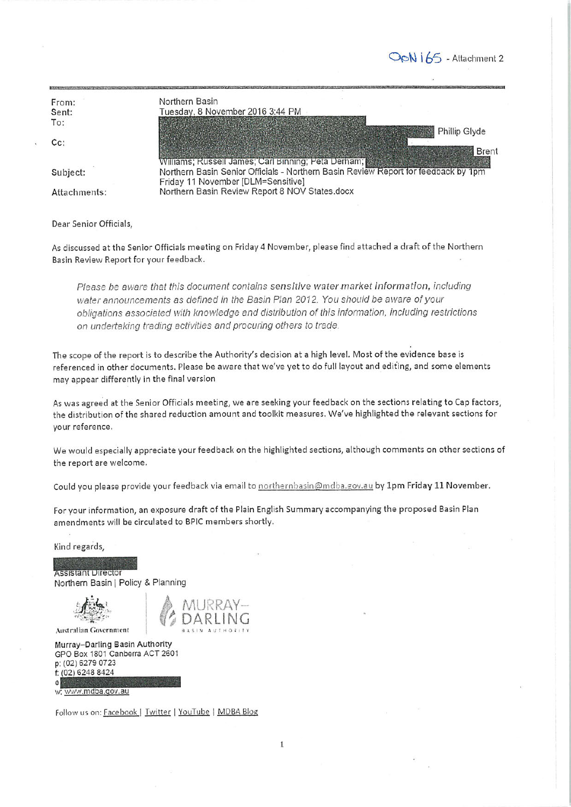OoN 165 - Attachment 2

| From:        | Northern Basin                                                                     |  |
|--------------|------------------------------------------------------------------------------------|--|
| Sent:        | Tuesday, 8 November 2016 3:44 PM                                                   |  |
| To:          |                                                                                    |  |
|              | Phillip Glyde                                                                      |  |
| $Cc$ :       |                                                                                    |  |
|              | <b>Brent</b>                                                                       |  |
|              | Williams; Russell James; Carl Binning; Peta Derham;                                |  |
| Subject:     | Northern Basin Senior Officials - Northern Basin Review Report for feedback by 1pm |  |
|              | Friday 11 November [DLM=Sensitive]                                                 |  |
| Attachments: | Northern Basin Review Report 8 NOV States.docx                                     |  |
|              |                                                                                    |  |

Dear Senior Officials,

As discussed at the Senior Officials meeting on Friday 4 November, please find attached a draft of the Northern Basin Review Report for your feedback.

Please be aware that this document contains sensitive water market information, including water announcements as defined in the Basin Plan 2012. You should be aware of your obligations associated with knowledge and distribution of this information, including restrictions on undertaking trading activities and procuring others to trade.

The scope of the report is to describe the Authority's decision at a high level. Most of the evidence base is referenced in other documents. Please be aware that we've yet to do full layout and editing, and some elements may appear differently in the final version

As was agreed at the Senior Officials meeting, we are seeking your feedback on the sections relating to Cap factors, the distribution of the shared reduction amount and toolkit measures. We've highlighted the relevant sections for vour reference.

We would especially appreciate your feedback on the highlighted sections, although comments on other sections of the report are welcome.

 $\mathbf{1}$ 

Could you please provide your feedback via email to northernbasin@mdba.gov.au by 1pm Friday 11 November.

For your information, an exposure draft of the Plain English Summary accompanying the proposed Basin Plan amendments will be circulated to BPIC members shortly.

Kind regards,

**Assistant Director** Northern Basin | Policy & Planning

Australian Government

Murray-Darling Basin Authority GPO Box 1801 Canberra ACT 2601 p: (02) 6279 0723 f: (02) 6248 8424

w: www.mdba.gov.au

Follow us on: Facebook | Twitter | YouTube | MDBA Blog

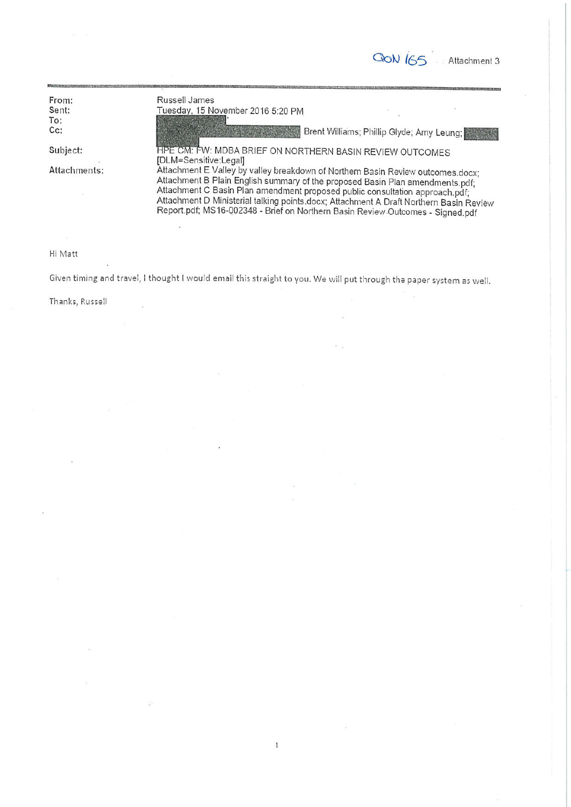**GON** IGS Attachment 3

| From:        | Russell James                                                                                                                                                                                                                                                                                                                                                                                                                |
|--------------|------------------------------------------------------------------------------------------------------------------------------------------------------------------------------------------------------------------------------------------------------------------------------------------------------------------------------------------------------------------------------------------------------------------------------|
| Sent:        | Tuesday, 15 November 2016 5:20 PM                                                                                                                                                                                                                                                                                                                                                                                            |
| To:          |                                                                                                                                                                                                                                                                                                                                                                                                                              |
| $Cc$ :       | Brent Williams; Phillip Glyde; Amy Leung;<br><b>Sunday and Marketing</b>                                                                                                                                                                                                                                                                                                                                                     |
| Subject:     | HPE CM: FW: MDBA BRIEF ON NORTHERN BASIN REVIEW OUTCOMES<br>[DLM=Sensitive:Legal]                                                                                                                                                                                                                                                                                                                                            |
| Attachments: | Attachment E Valley by valley breakdown of Northern Basin Review outcomes.docx:<br>Attachment B Plain English summary of the proposed Basin Plan amendments.pdf;<br>Attachment C Basin Plan amendment proposed public consultation approach.pdf;<br>Attachment D Ministerial talking points.docx; Attachment A Draft Northern Basin Review<br>Report.pdf; MS16-002348 - Brief on Northern Basin Review Outcomes - Signed.pdf |

#### Hi Matt

Given timing and travel, I thought I would email this straight to you. We will put through the paper system as well.

Thanks, Russell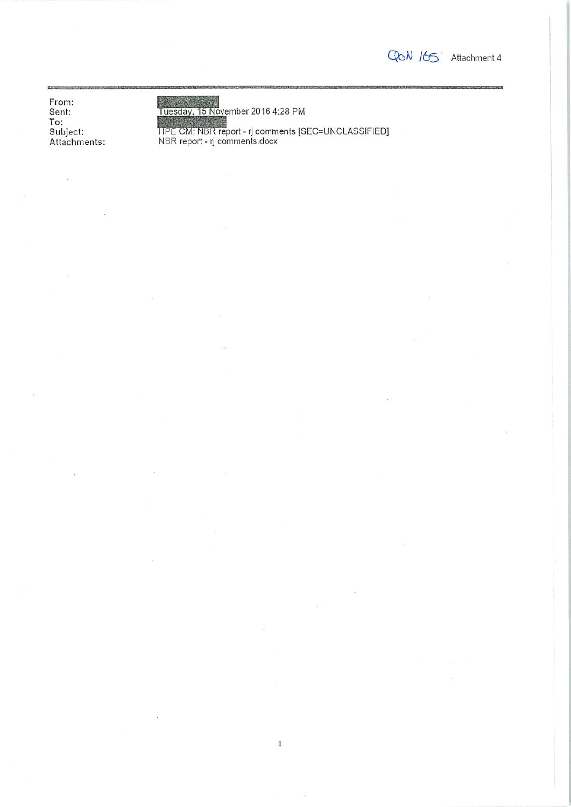GON ILS Attachment 4

From: Sent: To:<br>To:<br>Subject:<br>Attachments:

Tuesday, 15 November 2016 4:28 PM<br>HPE CM: NBR report - rj comments [SEC=UNCLASSIFIED]<br>NBR report - rj comments.docx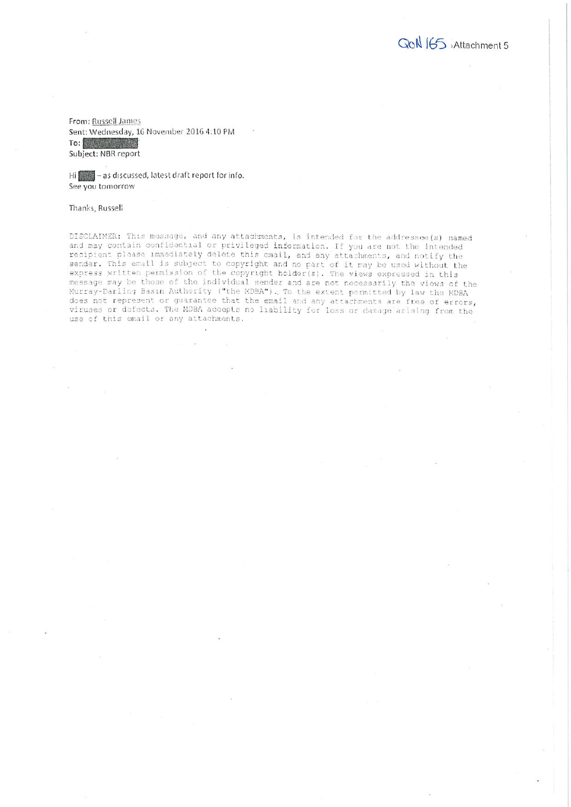QcN 165 Attachment 5

From: Russell James Sent: Wednesday, 16 November 2016 4:10 PM To: Factory and Subject: NBR report

Hi as discussed, latest draft report for info. See you tomorrow

#### Thanks, Russell

DISCLAIMER: This message, and any attachments, is intended for the addressee(s) named and may contain confidential or privileged information. If you are not the intended recipient please immediately delete this email, and any attachments, and notify the sender. This email is subject to copyright and no part of it may be used without the<br>express written permission of the copyright holder(s). The views expressed in this message may be those of the individual sender and are not necessarily the views of the Murray-Darling Basin Authority ("the MDBA"). To the extent permitted by law the MDBA<br>does not represent or guarantee that the email and any attachments are free of errors, viruses or defects. The MDBA accepts no liability for loss or damage arising from the use of this email or any attachments.